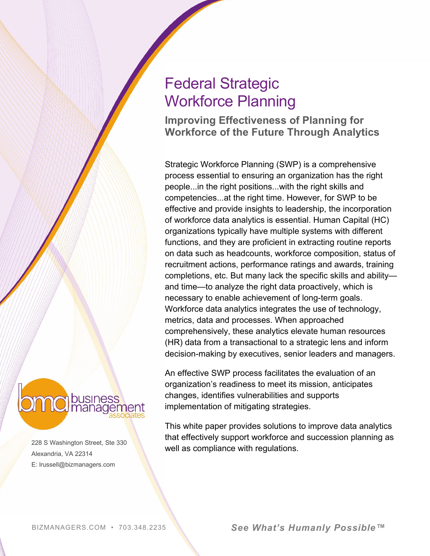# Federal Strategic Workforce Planning

**Improving Effectiveness of Planning for Workforce of the Future Through Analytics**

Strategic Workforce Planning (SWP) is a comprehensive process essential to ensuring an organization has the right people...in the right positions...with the right skills and competencies...at the right time. However, for SWP to be effective and provide insights to leadership, the incorporation of workforce data analytics is essential. Human Capital (HC) organizations typically have multiple systems with different functions, and they are proficient in extracting routine reports on data such as headcounts, workforce composition, status of recruitment actions, performance ratings and awards, training completions, etc. But many lack the specific skills and ability and time—to analyze the right data proactively, which is necessary to enable achievement of long-term goals. Workforce data analytics integrates the use of technology, metrics, data and processes. When approached comprehensively, these analytics elevate human resources (HR) data from a transactional to a strategic lens and inform decision-making by executives, senior leaders and managers.

An effective SWP process facilitates the evaluation of an organization's readiness to meet its mission, anticipates changes, identifies vulnerabilities and supports implementation of mitigating strategies.

This white paper provides solutions to improve data analytics that effectively support workforce and succession planning as well as compliance with regulations.

**C** busine

228 S Washington Street, Ste 330 Alexandria, VA 22314 E: lrussell@bizmanagers.com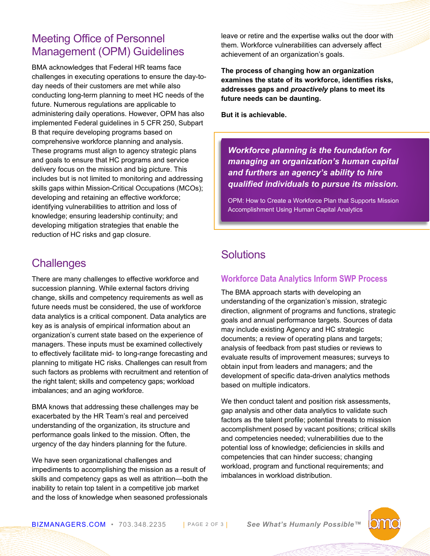### Meeting Office of Personnel Management (OPM) Guidelines

BMA acknowledges that Federal HR teams face challenges in executing operations to ensure the day-today needs of their customers are met while also conducting long-term planning to meet HC needs of the future. Numerous regulations are applicable to administering daily operations. However, OPM has also implemented Federal guidelines in 5 CFR 250, Subpart B that require developing programs based on comprehensive workforce planning and analysis. These programs must align to agency strategic plans and goals to ensure that HC programs and service delivery focus on the mission and big picture. This includes but is not limited to monitoring and addressing skills gaps within Mission-Critical Occupations (MCOs); developing and retaining an effective workforce; identifying vulnerabilities to attrition and loss of knowledge; ensuring leadership continuity; and developing mitigation strategies that enable the reduction of HC risks and gap closure.

## **Challenges**

There are many challenges to effective workforce and succession planning. While external factors driving change, skills and competency requirements as well as future needs must be considered, the use of workforce data analytics is a critical component. Data analytics are key as is analysis of empirical information about an organization's current state based on the experience of managers. These inputs must be examined collectively to effectively facilitate mid- to long-range forecasting and planning to mitigate HC risks. Challenges can result from such factors as problems with recruitment and retention of the right talent; skills and competency gaps; workload imbalances; and an aging workforce.

BMA knows that addressing these challenges may be exacerbated by the HR Team's real and perceived understanding of the organization, its structure and performance goals linked to the mission. Often, the urgency of the day hinders planning for the future.

We have seen organizational challenges and impediments to accomplishing the mission as a result of skills and competency gaps as well as attrition—both the inability to retain top talent in a competitive job market and the loss of knowledge when seasoned professionals leave or retire and the expertise walks out the door with them. Workforce vulnerabilities can adversely affect achievement of an organization's goals.

**The process of changing how an organization examines the state of its workforce, identifies risks, addresses gaps and** *proactively* **plans to meet its future needs can be daunting.**

**But it is achievable.**

*Workforce planning is the foundation for managing an organization's human capital and furthers an agency's ability to hire qualified individuals to pursue its mission.*

[OPM: How to Create a Workforce Plan that Supports Mission](https://www.opm.gov/policy-data-oversight/workforce-restructuring/reshaping/planning-a-strategic-approach/))  [Accomplishment Using Human Capital Analytics](https://www.opm.gov/policy-data-oversight/workforce-restructuring/reshaping/planning-a-strategic-approach/))

## **Solutions**

### **Workforce Data Analytics Inform SWP Process**

The BMA approach starts with developing an understanding of the organization's mission, strategic direction, alignment of programs and functions, strategic goals and annual performance targets. Sources of data may include existing Agency and HC strategic documents; a review of operating plans and targets; analysis of feedback from past studies or reviews to evaluate results of improvement measures; surveys to obtain input from leaders and managers; and the development of specific data-driven analytics methods based on multiple indicators.

We then conduct talent and position risk assessments, gap analysis and other data analytics to validate such factors as the talent profile; potential threats to mission accomplishment posed by vacant positions; critical skills and competencies needed; vulnerabilities due to the potential loss of knowledge; deficiencies in skills and competencies that can hinder success; changing workload, program and functional requirements; and imbalances in workload distribution.